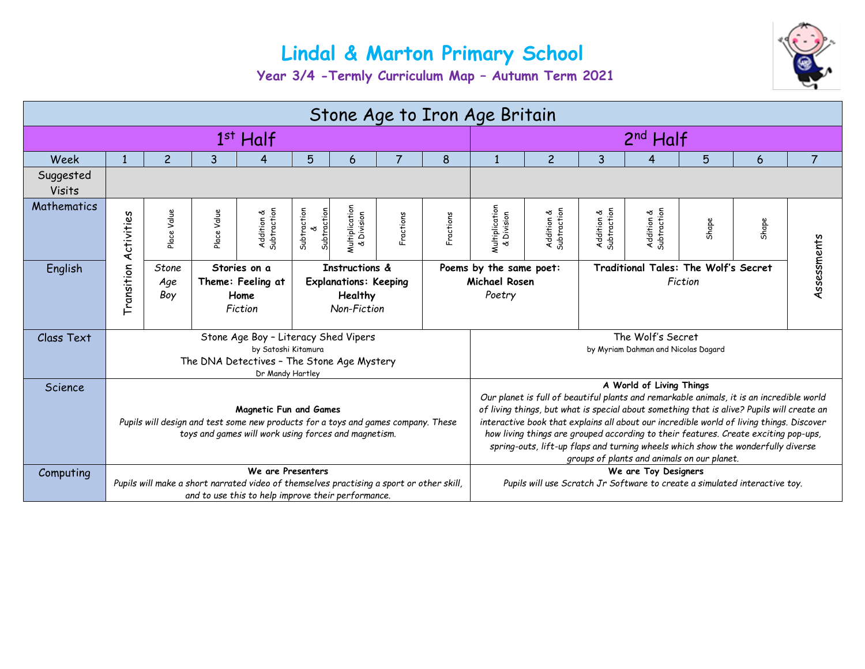## **Lindal & Marton Primary School**



**Year 3/4 -Termly Curriculum Map – Autumn Term 2021**

| Stone Age to Iron Age Britain |                                                                                                                                                                            |                     |                                                                                                                                  |                           |                                                                                                    |                                                                                                                                                                                                                                                                                                                                                                                                                                                                                                                                          |           |           |                              |                           |                           |                           |       |       |  |
|-------------------------------|----------------------------------------------------------------------------------------------------------------------------------------------------------------------------|---------------------|----------------------------------------------------------------------------------------------------------------------------------|---------------------------|----------------------------------------------------------------------------------------------------|------------------------------------------------------------------------------------------------------------------------------------------------------------------------------------------------------------------------------------------------------------------------------------------------------------------------------------------------------------------------------------------------------------------------------------------------------------------------------------------------------------------------------------------|-----------|-----------|------------------------------|---------------------------|---------------------------|---------------------------|-------|-------|--|
| $1st$ Half                    |                                                                                                                                                                            |                     |                                                                                                                                  |                           | 2 <sup>nd</sup> Half                                                                               |                                                                                                                                                                                                                                                                                                                                                                                                                                                                                                                                          |           |           |                              |                           |                           |                           |       |       |  |
| Week                          |                                                                                                                                                                            | $\overline{c}$      | 3                                                                                                                                | 4                         | 5                                                                                                  | 6                                                                                                                                                                                                                                                                                                                                                                                                                                                                                                                                        | 7         | 8         |                              | $\overline{c}$            | 3                         | 4                         | 5     | 6     |  |
| Suggested<br><b>Visits</b>    |                                                                                                                                                                            |                     |                                                                                                                                  |                           |                                                                                                    |                                                                                                                                                                                                                                                                                                                                                                                                                                                                                                                                          |           |           |                              |                           |                           |                           |       |       |  |
| Mathematics                   | Activities                                                                                                                                                                 | Place Value         | Place Value                                                                                                                      | Subtraction<br>Addition & | Subtraction<br>Subtraction                                                                         | Multiplication<br>& Division                                                                                                                                                                                                                                                                                                                                                                                                                                                                                                             | Fractions | Fractions | Multiplication<br>& Division | Addition &<br>Subtraction | Addition &<br>Subtraction | Addition &<br>Subtraction | Shape | Shape |  |
| English                       | Transition                                                                                                                                                                 | Stone<br>Age<br>Boy | Instructions &<br>Stories on a<br>Theme: Feeling at<br><b>Explanations: Keeping</b><br>Home<br>Healthy<br>Non-Fiction<br>Fiction |                           |                                                                                                    | Traditional Tales: The Wolf's Secret<br>Poems by the same poet:<br><b>Michael Rosen</b><br>Fiction<br>Poetry                                                                                                                                                                                                                                                                                                                                                                                                                             |           |           |                              | Assessments               |                           |                           |       |       |  |
| Class Text                    | Stone Age Boy - Literacy Shed Vipers<br>by Satoshi Kitamura<br>The DNA Detectives - The Stone Age Mystery<br>Dr Mandy Hartley                                              |                     |                                                                                                                                  |                           |                                                                                                    | The Wolf's Secret<br>by Myriam Dahman and Nicolas Dagard                                                                                                                                                                                                                                                                                                                                                                                                                                                                                 |           |           |                              |                           |                           |                           |       |       |  |
| Science                       | <b>Magnetic Fun and Games</b><br>Pupils will design and test some new products for a toys and games company. These<br>toys and games will work using forces and magnetism. |                     |                                                                                                                                  |                           |                                                                                                    | A World of Living Things<br>Our planet is full of beautiful plants and remarkable animals, it is an incredible world<br>of living things, but what is special about something that is alive? Pupils will create an<br>interactive book that explains all about our incredible world of living things. Discover<br>how living things are grouped according to their features. Create exciting pop-ups,<br>spring-outs, lift-up flaps and turning wheels which show the wonderfully diverse<br>groups of plants and animals on our planet. |           |           |                              |                           |                           |                           |       |       |  |
| Computing                     | We are Presenters<br>Pupils will make a short narrated video of themselves practising a sport or other skill,<br>and to use this to help improve their performance.        |                     |                                                                                                                                  |                           | We are Toy Designers<br>Pupils will use Scratch Jr Software to create a simulated interactive toy. |                                                                                                                                                                                                                                                                                                                                                                                                                                                                                                                                          |           |           |                              |                           |                           |                           |       |       |  |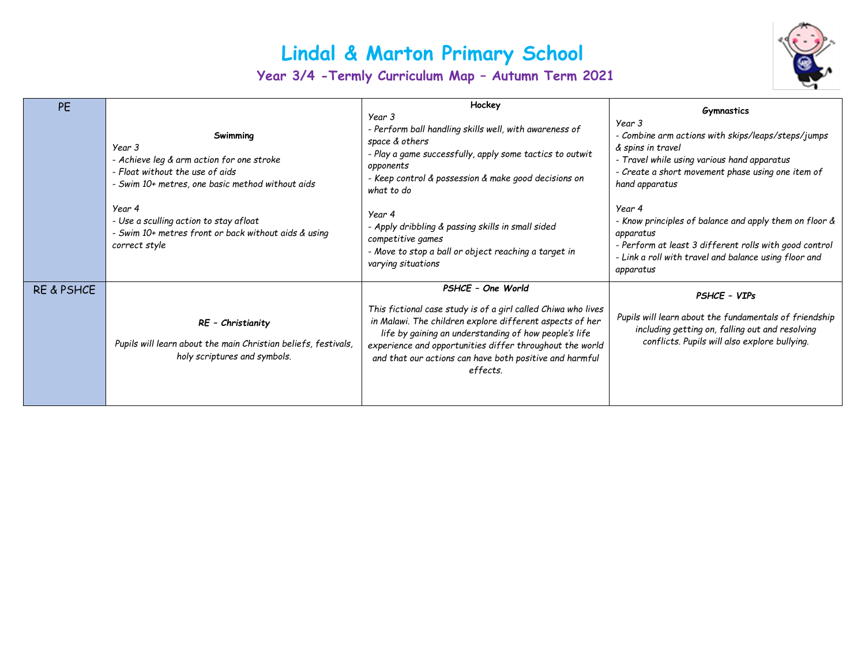## **Lindal & Marton Primary School**

**Year 3/4 -Termly Curriculum Map – Autumn Term 2021**



| <b>PE</b>             | Swimming<br>Year 3<br>- Achieve leg & arm action for one stroke<br>- Float without the use of aids<br>- Swim 10+ metres, one basic method without aids<br>Year 4<br>- Use a sculling action to stay afloat<br>- Swim 10+ metres front or back without aids & using<br>correct style | Hockey<br>Year 3<br>- Perform ball handling skills well, with awareness of<br>space & others<br>- Play a game successfully, apply some tactics to outwit<br>opponents<br>- Keep control & possession & make good decisions on<br>what to do<br>Year 4<br>- Apply dribbling & passing skills in small sided<br>competitive games<br>- Move to stop a ball or object reaching a target in | <b>Gymnastics</b><br>Year 3<br>- Combine arm actions with skips/leaps/steps/jumps<br>& spins in travel<br>- Travel while using various hand apparatus<br>- Create a short movement phase using one item of<br>hand apparatus<br>Year 4<br>- Know principles of balance and apply them on floor &<br>apparatus<br>- Perform at least 3 different rolls with good control |
|-----------------------|-------------------------------------------------------------------------------------------------------------------------------------------------------------------------------------------------------------------------------------------------------------------------------------|-----------------------------------------------------------------------------------------------------------------------------------------------------------------------------------------------------------------------------------------------------------------------------------------------------------------------------------------------------------------------------------------|-------------------------------------------------------------------------------------------------------------------------------------------------------------------------------------------------------------------------------------------------------------------------------------------------------------------------------------------------------------------------|
| <b>RE &amp; PSHCE</b> | RE - Christianity<br>Pupils will learn about the main Christian beliefs, festivals,<br>holy scriptures and symbols.                                                                                                                                                                 | varying situations<br>PSHCE - One World<br>This fictional case study is of a girl called Chiwa who lives<br>in Malawi. The children explore different aspects of her<br>life by gaining an understanding of how people's life<br>experience and opportunities differ throughout the world<br>and that our actions can have both positive and harmful<br>effects.                        | - Link a roll with travel and balance using floor and<br>apparatus<br>PSHCE - VIPs<br>Pupils will learn about the fundamentals of friendship<br>including getting on, falling out and resolving<br>conflicts. Pupils will also explore bullying.                                                                                                                        |